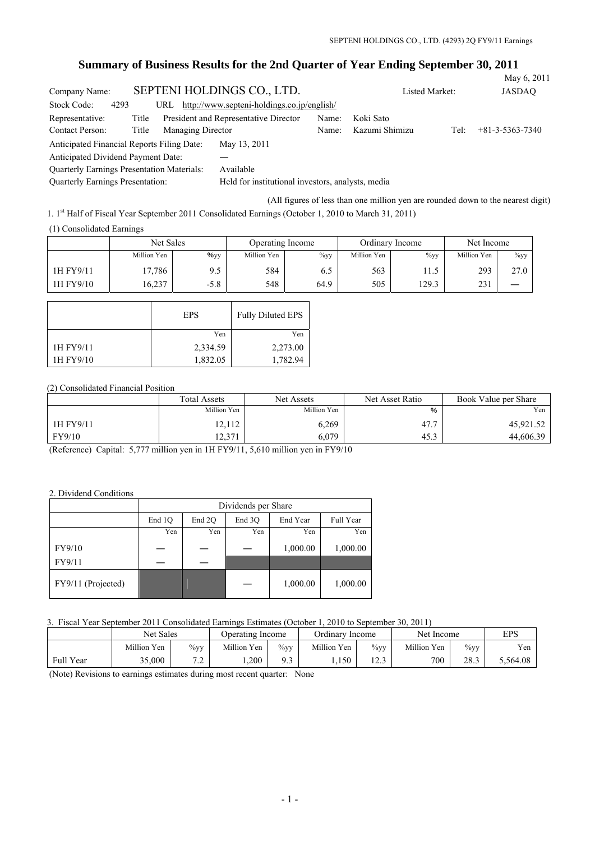# **Summary of Business Results for the 2nd Quarter of Year Ending September 30, 2011**

|                                                   |       |                   |                                                   |                |                |      | May 6, 2011       |
|---------------------------------------------------|-------|-------------------|---------------------------------------------------|----------------|----------------|------|-------------------|
| Company Name:                                     |       |                   | SEPTENI HOLDINGS CO., LTD.                        | Listed Market: | <b>JASDAO</b>  |      |                   |
| Stock Code:<br>4293                               |       |                   | URL http://www.septeni-holdings.co.jp/english/    |                |                |      |                   |
| Representative:                                   | Title |                   | President and Representative Director             | Name:          | Koki Sato      |      |                   |
| Contact Person:                                   | Title | Managing Director |                                                   | Name:          | Kazumi Shimizu | Tel: | $+81-3-5363-7340$ |
| Anticipated Financial Reports Filing Date:        |       |                   | May 13, 2011                                      |                |                |      |                   |
| Anticipated Dividend Payment Date:                |       |                   |                                                   |                |                |      |                   |
| <b>Quarterly Earnings Presentation Materials:</b> |       |                   | Available                                         |                |                |      |                   |
| Quarterly Earnings Presentation:                  |       |                   | Held for institutional investors, analysts, media |                |                |      |                   |

(All figures of less than one million yen are rounded down to the nearest digit)

1. 1st Half of Fiscal Year September 2011 Consolidated Earnings (October 1, 2010 to March 31, 2011)

(1) Consolidated Earnings

|           | Net Sales   |                  | Operating Income |         |             | Ordinary Income | Net Income  |         |
|-----------|-------------|------------------|------------------|---------|-------------|-----------------|-------------|---------|
|           | Million Yen | $\frac{9}{9}$ yy | Million Yen      | $\%$ yy | Million Yen | $\%$ yy         | Million Yen | $\%$ yy |
| 1H FY9/11 | 17.786      | 9.5              | 584              | 6.J     | 563         |                 | 293         | 27.0    |
| 1H FY9/10 | 16,237      | $-5.8$           | 548              | 64.9    | 505         | 129.3           | 231         |         |

|           | <b>EPS</b> | <b>Fully Diluted EPS</b> |
|-----------|------------|--------------------------|
|           | Yen        | Yen                      |
| 1H FY9/11 | 2,334.59   | 2,273.00                 |
| 1H FY9/10 | 1,832.05   | 1,782.94                 |

# (2) Consolidated Financial Position

|           | <b>Total Assets</b> | Net Assets  | Net Asset Ratio | Book Value per Share |  |
|-----------|---------------------|-------------|-----------------|----------------------|--|
|           | Million Yen         | Million Yen | %               | Yen                  |  |
| 1H FY9/11 | 12,112              | 6,269       | 47.7            | 45,921.52            |  |
| FY9/10    | 12,371              | 6,079       | 45.3            | 44,606.39            |  |

(Reference) Capital: 5,777 million yen in 1H FY9/11, 5,610 million yen in FY9/10

#### 2. Dividend Conditions

|                    | Dividends per Share |        |        |          |           |  |  |
|--------------------|---------------------|--------|--------|----------|-----------|--|--|
|                    | End 1Q              | End 2O | End 3O | End Year | Full Year |  |  |
|                    | Yen                 | Yen    | Yen    | Yen      | Yen       |  |  |
| FY9/10             |                     |        |        | 1,000.00 | 1,000.00  |  |  |
| FY9/11             |                     |        |        |          |           |  |  |
| FY9/11 (Projected) |                     |        |        | 1,000.00 | 1,000.00  |  |  |

## 3. Fiscal Year September 2011 Consolidated Earnings Estimates (October 1, 2010 to September 30, 2011)

|           | Net Sales   |               | Operating Income |            | Ordinary Income |                   | Net Income  |         | EPS      |
|-----------|-------------|---------------|------------------|------------|-----------------|-------------------|-------------|---------|----------|
|           | Million Yen | $\%$ yy       | Million Yen      | $\%$ yy    | Million Yen     | $\%$ yy           | Million Yen | $\%$ yy | Yen      |
| Full Year | 35,000      | − ^<br>ت که د | ,200             | Q 3<br>ر . | 1,150           | $\cap$<br>ر. ۲۰ 1 | 700         | 28.3    | 5,564.08 |

(Note) Revisions to earnings estimates during most recent quarter: None